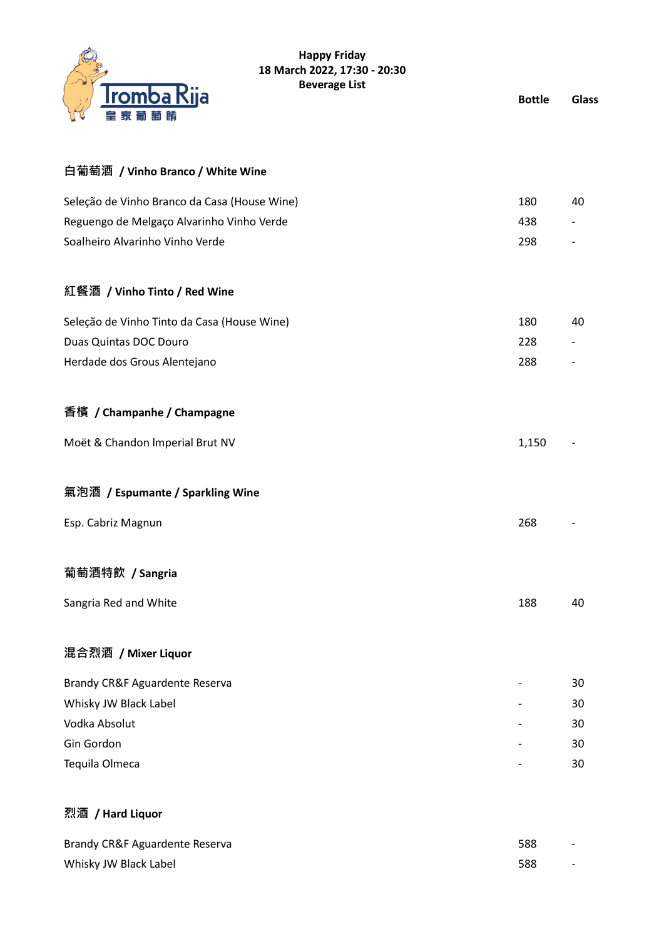

#### **Happy Friday 18 March 2022, 17:30 - 20:30 Beverage List**

**Bottle Glass**

| 皇家葡萄餚                                        |       |    |
|----------------------------------------------|-------|----|
| 白葡萄酒 / Vinho Branco / White Wine             |       |    |
| Seleção de Vinho Branco da Casa (House Wine) | 180   | 40 |
| Reguengo de Melgaço Alvarinho Vinho Verde    | 438   |    |
| Soalheiro Alvarinho Vinho Verde              | 298   |    |
| 紅餐酒 / Vinho Tinto / Red Wine                 |       |    |
| Seleção de Vinho Tinto da Casa (House Wine)  | 180   | 40 |
| Duas Quintas DOC Douro                       | 228   |    |
| Herdade dos Grous Alentejano                 | 288   |    |
| 香檳 / Champanhe / Champagne                   |       |    |
| Moët & Chandon Imperial Brut NV              | 1,150 |    |
| 氣泡酒 / Espumante / Sparkling Wine             |       |    |
| Esp. Cabriz Magnun                           | 268   |    |
| 葡萄酒特飲 / Sangria                              |       |    |
| Sangria Red and White                        | 188   | 40 |
|                                              |       |    |
| 混合烈酒 / Mixer Liquor                          |       |    |
| Brandy CR&F Aguardente Reserva               |       | 30 |
| Whisky JW Black Label                        |       | 30 |
| Vodka Absolut                                |       | 30 |
| Gin Gordon                                   |       | 30 |
| Tequila Olmeca                               |       | 30 |
|                                              |       |    |

# **烈酒 / Hard Liquor**

| Brandy CR&F Aguardente Reserva | 588 | $\overline{\phantom{0}}$ |
|--------------------------------|-----|--------------------------|
| Whisky JW Black Label          | 588 | $\overline{\phantom{0}}$ |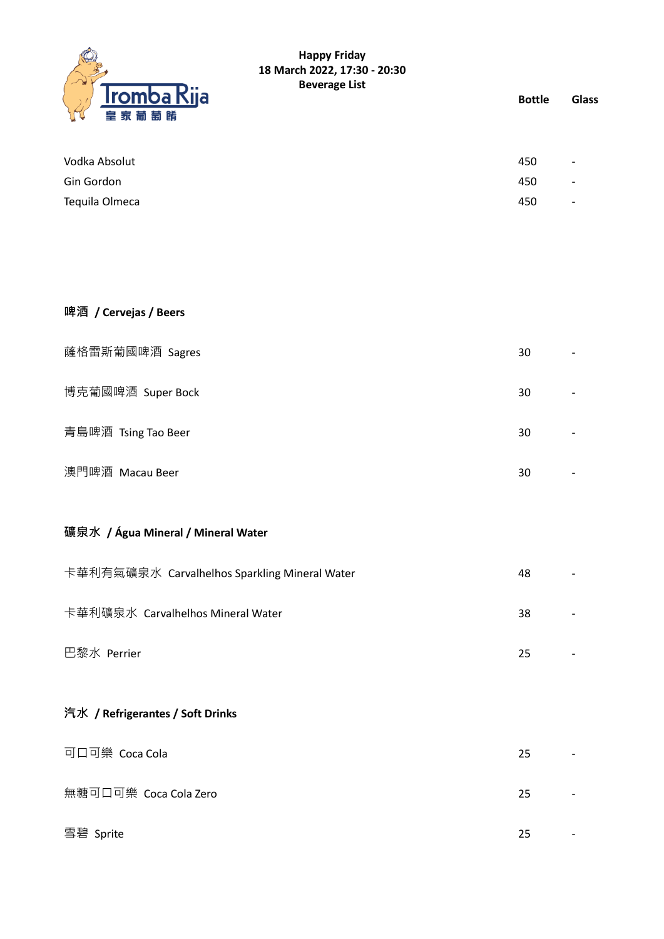

### **Happy Friday 18 March 2022, 17:30 - 20:30 Beverage List**

**Bottle Glass**

| 450 | $\overline{\phantom{0}}$ |
|-----|--------------------------|
| 450 | $\overline{\phantom{0}}$ |
| 450 | $\overline{\phantom{0}}$ |
|     |                          |

| 啤酒 / Cervejas / Beers |    |  |
|-----------------------|----|--|
| 薩格雷斯葡國啤酒 Sagres       | 30 |  |
| 博克葡國啤酒 Super Bock     | 30 |  |
| 青島啤酒 Tsing Tao Beer   | 30 |  |
| 澳門啤酒 Macau Beer       | 30 |  |

## **礦泉水 / Água Mineral / Mineral Water**

| 卡華利有氣礦泉水 Carvalhelhos Sparkling Mineral Water | 48 |  |
|-----------------------------------------------|----|--|
| 卡華利礦泉水 Carvalhelhos Mineral Water             | 38 |  |
| 巴黎水 Perrier                                   | 25 |  |

### **汽水 / Refrigerantes / Soft Drinks**

| 可口可樂 Coca Cola        | 25 | $\overline{\phantom{0}}$ |
|-----------------------|----|--------------------------|
| 無糖可口可樂 Coca Cola Zero | 25 |                          |
| 雪碧 Sprite             | 25 |                          |